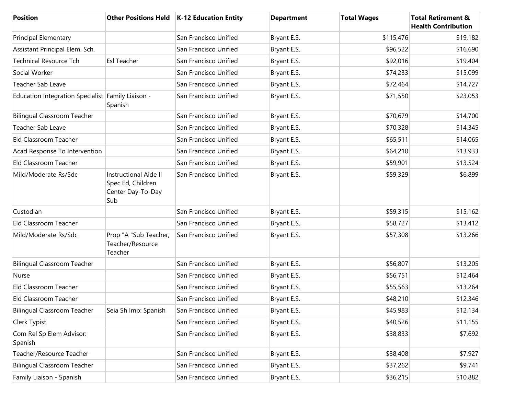| <b>Position</b>                                   |                                                                               | Other Positions Held   K-12 Education Entity | <b>Department</b> | <b>Total Wages</b> | <b>Total Retirement &amp;</b><br><b>Health Contribution</b> |
|---------------------------------------------------|-------------------------------------------------------------------------------|----------------------------------------------|-------------------|--------------------|-------------------------------------------------------------|
| <b>Principal Elementary</b>                       |                                                                               | San Francisco Unified                        | Bryant E.S.       | \$115,476          | \$19,182                                                    |
| Assistant Principal Elem. Sch.                    |                                                                               | San Francisco Unified                        | Bryant E.S.       | \$96,522           | \$16,690                                                    |
| <b>Technical Resource Tch</b>                     | <b>Esl Teacher</b>                                                            | San Francisco Unified                        | Bryant E.S.       | \$92,016           | \$19,404                                                    |
| Social Worker                                     |                                                                               | San Francisco Unified                        | Bryant E.S.       | \$74,233           | \$15,099                                                    |
| Teacher Sab Leave                                 |                                                                               | San Francisco Unified                        | Bryant E.S.       | \$72,464           | \$14,727                                                    |
| Education Integration Specialist Family Liaison - | Spanish                                                                       | San Francisco Unified                        | Bryant E.S.       | \$71,550           | \$23,053                                                    |
| <b>Bilingual Classroom Teacher</b>                |                                                                               | San Francisco Unified                        | Bryant E.S.       | \$70,679           | \$14,700                                                    |
| Teacher Sab Leave                                 |                                                                               | San Francisco Unified                        | Bryant E.S.       | \$70,328           | \$14,345                                                    |
| Eld Classroom Teacher                             |                                                                               | San Francisco Unified                        | Bryant E.S.       | \$65,511           | \$14,065                                                    |
| Acad Response To Intervention                     |                                                                               | San Francisco Unified                        | Bryant E.S.       | \$64,210           | \$13,933                                                    |
| Eld Classroom Teacher                             |                                                                               | San Francisco Unified                        | Bryant E.S.       | \$59,901           | \$13,524                                                    |
| Mild/Moderate Rs/Sdc                              | <b>Instructional Aide II</b><br>Spec Ed, Children<br>Center Day-To-Day<br>Sub | San Francisco Unified                        | Bryant E.S.       | \$59,329           | \$6,899                                                     |
| Custodian                                         |                                                                               | San Francisco Unified                        | Bryant E.S.       | \$59,315           | \$15,162                                                    |
| Eld Classroom Teacher                             |                                                                               | San Francisco Unified                        | Bryant E.S.       | \$58,727           | \$13,412                                                    |
| Mild/Moderate Rs/Sdc                              | Prop "A "Sub Teacher,<br>Teacher/Resource<br>Teacher                          | San Francisco Unified                        | Bryant E.S.       | \$57,308           | \$13,266                                                    |
| <b>Bilingual Classroom Teacher</b>                |                                                                               | San Francisco Unified                        | Bryant E.S.       | \$56,807           | \$13,205                                                    |
| Nurse                                             |                                                                               | San Francisco Unified                        | Bryant E.S.       | \$56,751           | \$12,464                                                    |
| Eld Classroom Teacher                             |                                                                               | San Francisco Unified                        | Bryant E.S.       | \$55,563           | \$13,264                                                    |
| Eld Classroom Teacher                             |                                                                               | San Francisco Unified                        | Bryant E.S.       | \$48,210           | \$12,346                                                    |
| <b>Bilingual Classroom Teacher</b>                | Seia Sh Imp: Spanish                                                          | San Francisco Unified                        | Bryant E.S.       | \$45,983           | \$12,134                                                    |
| Clerk Typist                                      |                                                                               | San Francisco Unified                        | Bryant E.S.       | \$40,526           | \$11,155                                                    |
| Com Rel Sp Elem Advisor:<br>Spanish               |                                                                               | San Francisco Unified                        | Bryant E.S.       | \$38,833           | \$7,692                                                     |
| Teacher/Resource Teacher                          |                                                                               | San Francisco Unified                        | Bryant E.S.       | \$38,408           | \$7,927                                                     |
| <b>Bilingual Classroom Teacher</b>                |                                                                               | San Francisco Unified                        | Bryant E.S.       | \$37,262           | \$9,741                                                     |
| Family Liaison - Spanish                          |                                                                               | San Francisco Unified                        | Bryant E.S.       | \$36,215           | \$10,882                                                    |